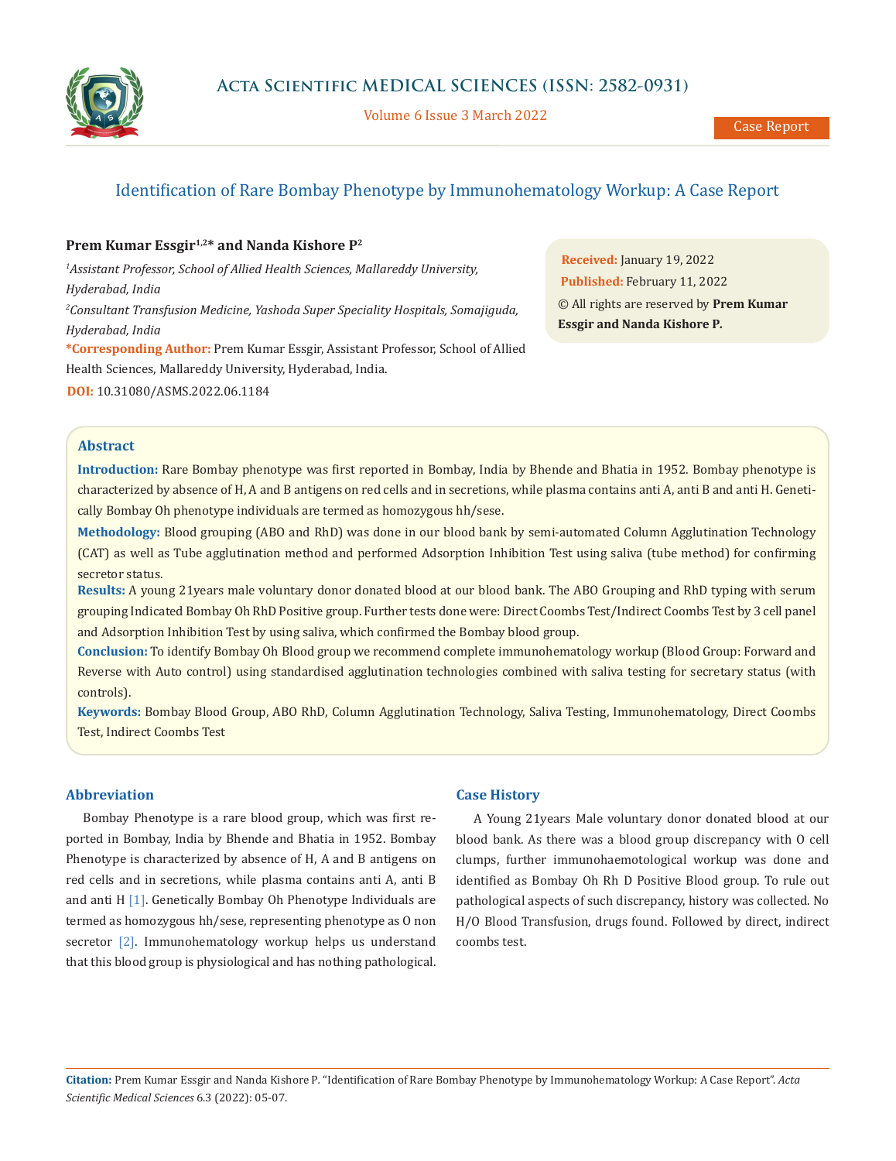

Volume 6 Issue 3 March 2022

# Identification of Rare Bombay Phenotype by Immunohematology Workup: A Case Report

# Prem Kumar Essgir<sup>1,2\*</sup> and Nanda Kishore P<sup>2</sup>

*1 Assistant Professor, School of Allied Health Sciences, Mallareddy University, Hyderabad, India 2 Consultant Transfusion Medicine, Yashoda Super Speciality Hospitals, Somajiguda, Hyderabad, India* **\*Corresponding Author:** Prem Kumar Essgir, Assistant Professor, School of Allied Health Sciences, Mallareddy University, Hyderabad, India.

**DOI:** [10.31080/ASMS.2022.06.1184](https://actascientific.com/ASMS/pdf/ASMS-06-1184.pdf)

**Received:** January 19, 2022 **Published:** February 11, 2022 © All rights are reserved by **Prem Kumar Essgir and Nanda Kishore P***.*

# **Abstract**

**Introduction:** Rare Bombay phenotype was first reported in Bombay, India by Bhende and Bhatia in 1952. Bombay phenotype is characterized by absence of H, A and B antigens on red cells and in secretions, while plasma contains anti A, anti B and anti H. Genetically Bombay Oh phenotype individuals are termed as homozygous hh/sese.

**Methodology:** Blood grouping (ABO and RhD) was done in our blood bank by semi-automated Column Agglutination Technology (CAT) as well as Tube agglutination method and performed Adsorption Inhibition Test using saliva (tube method) for confirming secretor status.

**Results:** A young 21years male voluntary donor donated blood at our blood bank. The ABO Grouping and RhD typing with serum grouping Indicated Bombay Oh RhD Positive group. Further tests done were: Direct Coombs Test/Indirect Coombs Test by 3 cell panel and Adsorption Inhibition Test by using saliva, which confirmed the Bombay blood group.

**Conclusion:** To identify Bombay Oh Blood group we recommend complete immunohematology workup (Blood Group: Forward and Reverse with Auto control) using standardised agglutination technologies combined with saliva testing for secretary status (with controls).

**Keywords:** Bombay Blood Group, ABO RhD, Column Agglutination Technology, Saliva Testing, Immunohematology, Direct Coombs Test, Indirect Coombs Test

#### **Abbreviation**

Bombay Phenotype is a rare blood group, which was first reported in Bombay, India by Bhende and Bhatia in 1952. Bombay Phenotype is characterized by absence of H, A and B antigens on red cells and in secretions, while plasma contains anti A, anti B and anti H [1]. Genetically Bombay Oh Phenotype Individuals are termed as homozygous hh/sese, representing phenotype as O non secretor [2]. Immunohematology workup helps us understand that this blood group is physiological and has nothing pathological.

### **Case History**

A Young 21years Male voluntary donor donated blood at our blood bank. As there was a blood group discrepancy with O cell clumps, further immunohaemotological workup was done and identified as Bombay Oh Rh D Positive Blood group. To rule out pathological aspects of such discrepancy, history was collected. No H/O Blood Transfusion, drugs found. Followed by direct, indirect coombs test.

**Citation:** Prem Kumar Essgir and Nanda Kishore P*.* "Identification of Rare Bombay Phenotype by Immunohematology Workup: A Case Report". *Acta Scientific Medical Sciences* 6.3 (2022): 05-07.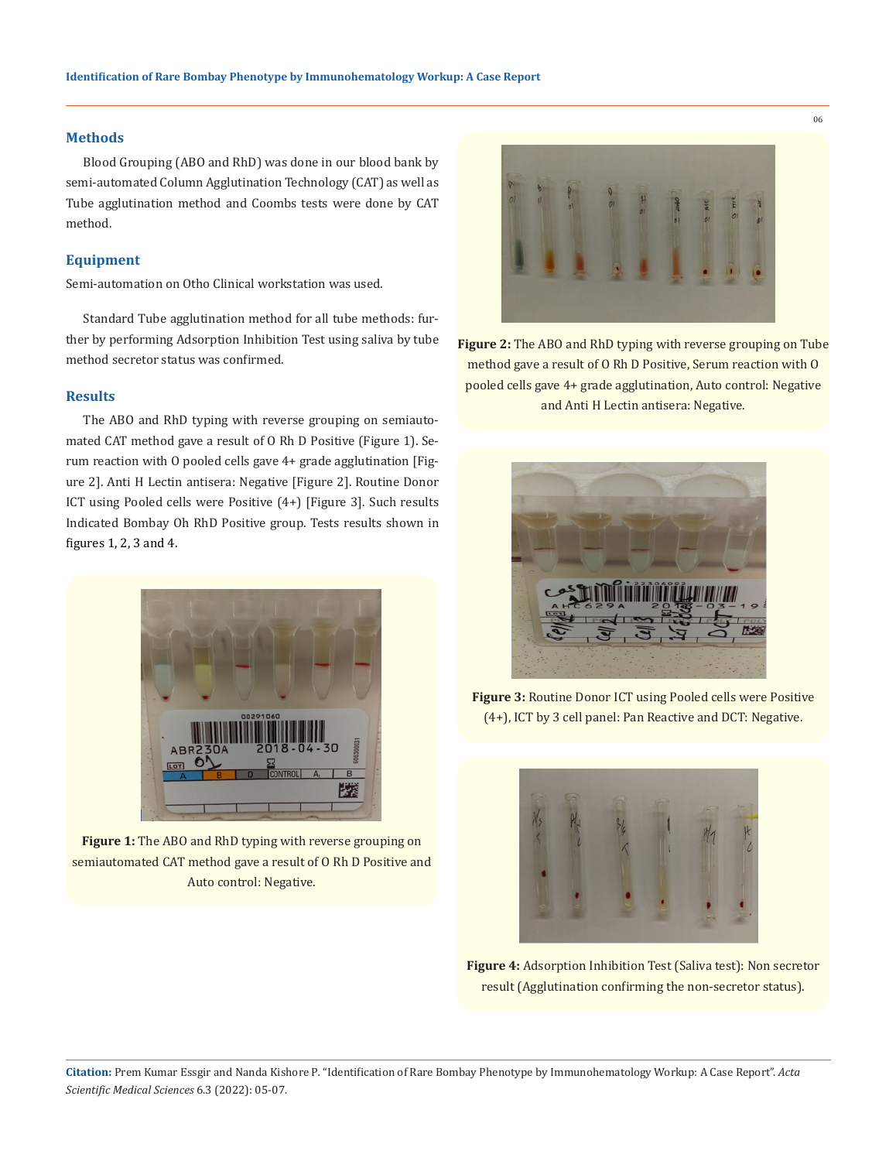#### **Methods**

Blood Grouping (ABO and RhD) was done in our blood bank by semi-automated Column Agglutination Technology (CAT) as well as Tube agglutination method and Coombs tests were done by CAT method.

#### **Equipment**

Semi-automation on Otho Clinical workstation was used.

Standard Tube agglutination method for all tube methods: further by performing Adsorption Inhibition Test using saliva by tube method secretor status was confirmed.

### **Results**

The ABO and RhD typing with reverse grouping on semiautomated CAT method gave a result of O Rh D Positive (Figure 1). Serum reaction with O pooled cells gave 4+ grade agglutination [Figure 2]. Anti H Lectin antisera: Negative [Figure 2]. Routine Donor ICT using Pooled cells were Positive (4+) [Figure 3]. Such results Indicated Bombay Oh RhD Positive group. Tests results shown in figures 1, 2, 3 and 4.



**Figure 1:** The ABO and RhD typing with reverse grouping on semiautomated CAT method gave a result of O Rh D Positive and Auto control: Negative.



**Figure 2:** The ABO and RhD typing with reverse grouping on Tube method gave a result of O Rh D Positive, Serum reaction with O pooled cells gave 4+ grade agglutination, Auto control: Negative and Anti H Lectin antisera: Negative.



**Figure 3:** Routine Donor ICT using Pooled cells were Positive (4+), ICT by 3 cell panel: Pan Reactive and DCT: Negative.



**Figure 4:** Adsorption Inhibition Test (Saliva test): Non secretor result (Agglutination confirming the non-secretor status).